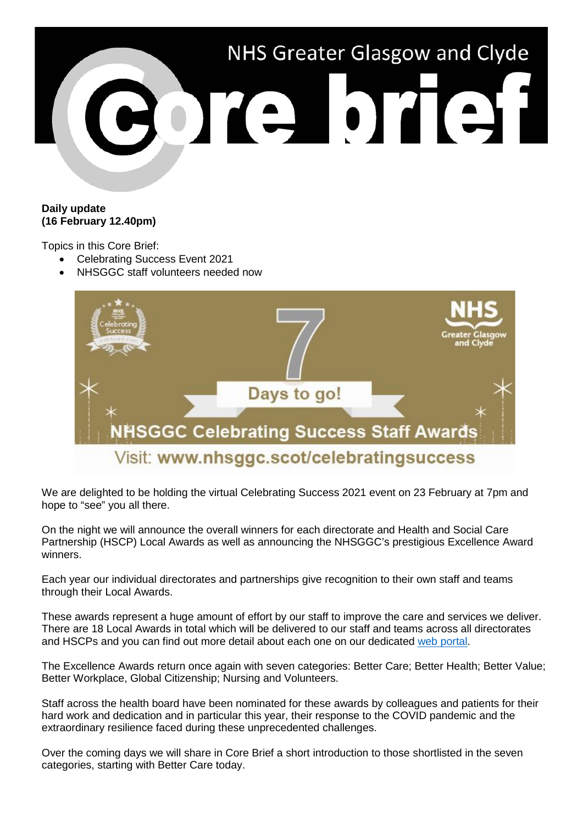

### **Daily update (16 February 12.40pm)**

Topics in this Core Brief:

- Celebrating Success Event 2021
- NHSGGC staff volunteers needed now



We are delighted to be holding the virtual Celebrating Success 2021 event on 23 February at 7pm and hope to "see" you all there.

On the night we will announce the overall winners for each directorate and Health and Social Care Partnership (HSCP) Local Awards as well as announcing the NHSGGC's prestigious Excellence Award winners.

Each year our individual directorates and partnerships give recognition to their own staff and teams through their Local Awards.

These awards represent a huge amount of effort by our staff to improve the care and services we deliver. There are 18 Local Awards in total which will be delivered to our staff and teams across all directorates and HSCPs and you can find out more detail about each one on our dedicated [web portal.](https://www.nhsggc.scot/staff-recruitment/staff-communications/celebrating-success/local-staff-awards/)

The Excellence Awards return once again with seven categories: Better Care; Better Health; Better Value; Better Workplace, Global Citizenship; Nursing and Volunteers.

Staff across the health board have been nominated for these awards by colleagues and patients for their hard work and dedication and in particular this year, their response to the COVID pandemic and the extraordinary resilience faced during these unprecedented challenges.

Over the coming days we will share in Core Brief a short introduction to those shortlisted in the seven categories, starting with Better Care today.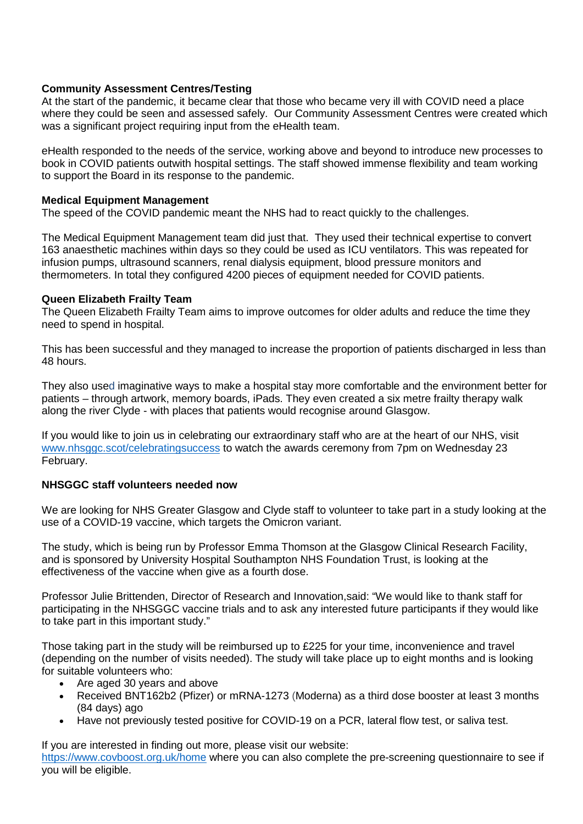#### **Community Assessment Centres/Testing**

At the start of the pandemic, it became clear that those who became very ill with COVID need a place where they could be seen and assessed safely. Our Community Assessment Centres were created which was a significant project requiring input from the eHealth team.

eHealth responded to the needs of the service, working above and beyond to introduce new processes to book in COVID patients outwith hospital settings. The staff showed immense flexibility and team working to support the Board in its response to the pandemic.

## **Medical Equipment Management**

The speed of the COVID pandemic meant the NHS had to react quickly to the challenges.

The Medical Equipment Management team did just that. They used their technical expertise to convert 163 anaesthetic machines within days so they could be used as ICU ventilators. This was repeated for infusion pumps, ultrasound scanners, renal dialysis equipment, blood pressure monitors and thermometers. In total they configured 4200 pieces of equipment needed for COVID patients.

## **Queen Elizabeth Frailty Team**

The Queen Elizabeth Frailty Team aims to improve outcomes for older adults and reduce the time they need to spend in hospital.

This has been successful and they managed to increase the proportion of patients discharged in less than 48 hours.

They also used imaginative ways to make a hospital stay more comfortable and the environment better for patients – through artwork, memory boards, iPads. They even created a six metre frailty therapy walk along the river Clyde - with places that patients would recognise around Glasgow.

If you would like to join us in celebrating our extraordinary staff who are at the heart of our NHS, visit [www.nhsggc.scot/celebratingsuccess](http://www.nhsggc.scot/celebratingsuccess) to watch the awards ceremony from 7pm on Wednesday 23 February.

# **NHSGGC staff volunteers needed now**

We are looking for NHS Greater Glasgow and Clyde staff to volunteer to take part in a study looking at the use of a COVID-19 vaccine, which targets the Omicron variant.

The study, which is being run by Professor Emma Thomson at the Glasgow Clinical Research Facility, and is sponsored by University Hospital Southampton NHS Foundation Trust, is looking at the effectiveness of the vaccine when give as a fourth dose.

Professor Julie Brittenden, Director of Research and Innovation,said: "We would like to thank staff for participating in the NHSGGC vaccine trials and to ask any interested future participants if they would like to take part in this important study."

Those taking part in the study will be reimbursed up to £225 for your time, inconvenience and travel (depending on the number of visits needed). The study will take place up to eight months and is looking for suitable volunteers who:

- Are aged 30 years and above
- Received BNT162b2 (Pfizer) or mRNA-1273 (Moderna) as a third dose booster at least 3 months (84 days) ago
- Have not previously tested positive for COVID-19 on a PCR, lateral flow test, or saliva test.

If you are interested in finding out more, please visit our website: <https://www.covboost.org.uk/home> where you can also complete the pre-screening questionnaire to see if you will be eligible.